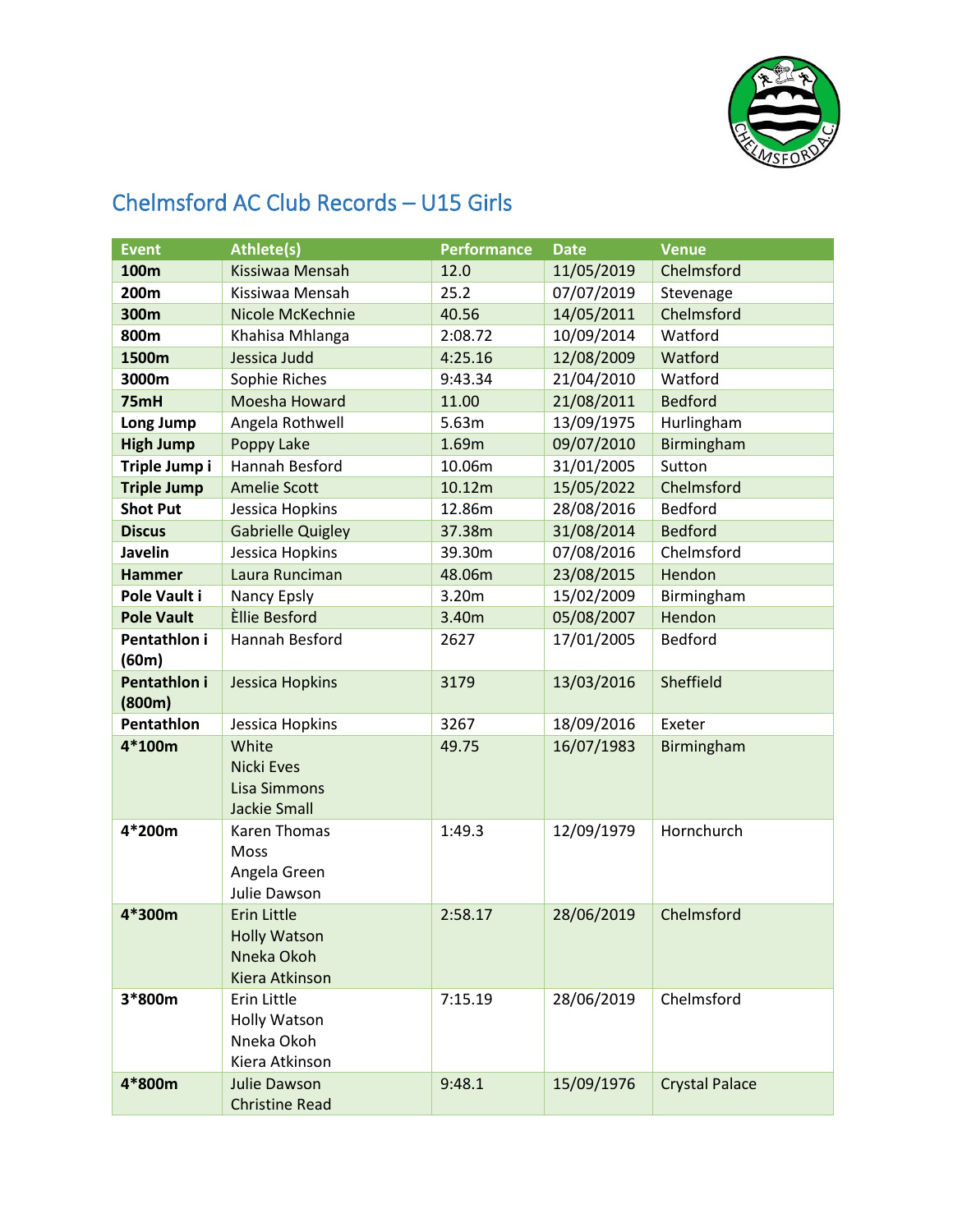

## Chelmsford AC Club Records – U15 Girls

| <b>Event</b>       | <b>Athlete(s)</b>                 | <b>Performance</b> | <b>Date</b> | <b>Venue</b>          |
|--------------------|-----------------------------------|--------------------|-------------|-----------------------|
| <b>100m</b>        | Kissiwaa Mensah                   | 12.0               | 11/05/2019  | Chelmsford            |
| 200m               | Kissiwaa Mensah                   | 25.2               | 07/07/2019  | Stevenage             |
| 300m               | Nicole McKechnie                  | 40.56              | 14/05/2011  | Chelmsford            |
| 800m               | Khahisa Mhlanga                   | 2:08.72            | 10/09/2014  | Watford               |
| 1500m              | Jessica Judd                      | 4:25.16            | 12/08/2009  | Watford               |
| 3000m              | Sophie Riches                     | 9:43.34            | 21/04/2010  | Watford               |
| 75mH               | Moesha Howard                     | 11.00              | 21/08/2011  | <b>Bedford</b>        |
| Long Jump          | Angela Rothwell                   | 5.63m              | 13/09/1975  | Hurlingham            |
| <b>High Jump</b>   | Poppy Lake                        | 1.69m              | 09/07/2010  | Birmingham            |
| Triple Jump i      | Hannah Besford                    | 10.06m             | 31/01/2005  | Sutton                |
| <b>Triple Jump</b> | <b>Amelie Scott</b>               | 10.12m             | 15/05/2022  | Chelmsford            |
| <b>Shot Put</b>    | Jessica Hopkins                   | 12.86m             | 28/08/2016  | Bedford               |
| <b>Discus</b>      | <b>Gabrielle Quigley</b>          | 37.38m             | 31/08/2014  | <b>Bedford</b>        |
| Javelin            | Jessica Hopkins                   | 39.30m             | 07/08/2016  | Chelmsford            |
| <b>Hammer</b>      | Laura Runciman                    | 48.06m             | 23/08/2015  | Hendon                |
| Pole Vault i       | Nancy Epsly                       | 3.20m              | 15/02/2009  | Birmingham            |
| <b>Pole Vault</b>  | Èllie Besford                     | 3.40m              | 05/08/2007  | Hendon                |
| Pentathlon i       | Hannah Besford                    | 2627               | 17/01/2005  | Bedford               |
| (60m)              |                                   |                    |             |                       |
| Pentathlon i       | <b>Jessica Hopkins</b>            | 3179               | 13/03/2016  | Sheffield             |
| (800m)             |                                   |                    |             |                       |
| Pentathlon         | Jessica Hopkins                   | 3267               | 18/09/2016  | Exeter                |
| 4*100m             | White                             | 49.75              | 16/07/1983  | Birmingham            |
|                    | <b>Nicki Eves</b>                 |                    |             |                       |
|                    | <b>Lisa Simmons</b>               |                    |             |                       |
|                    | <b>Jackie Small</b>               |                    |             |                       |
| 4*200m             | Karen Thomas                      | 1:49.3             | 12/09/1979  | Hornchurch            |
|                    | Moss                              |                    |             |                       |
|                    | Angela Green                      |                    |             |                       |
|                    | Julie Dawson                      |                    |             |                       |
| 4*300m             | Erin Little                       | 2:58.17            | 28/06/2019  | Chelmsford            |
|                    | <b>Holly Watson</b><br>Nneka Okoh |                    |             |                       |
|                    | Kiera Atkinson                    |                    |             |                       |
| 3*800m             | Erin Little                       | 7:15.19            | 28/06/2019  | Chelmsford            |
|                    | <b>Holly Watson</b>               |                    |             |                       |
|                    | Nneka Okoh                        |                    |             |                       |
|                    | Kiera Atkinson                    |                    |             |                       |
| 4*800m             | <b>Julie Dawson</b>               | 9:48.1             | 15/09/1976  | <b>Crystal Palace</b> |
|                    | <b>Christine Read</b>             |                    |             |                       |